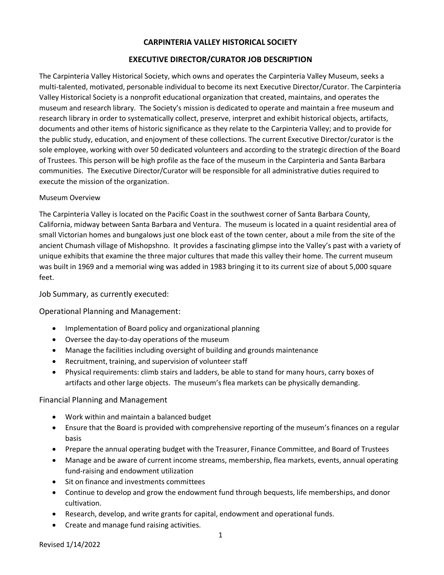# **CARPINTERIA VALLEY HISTORICAL SOCIETY**

## **EXECUTIVE DIRECTOR/CURATOR JOB DESCRIPTION**

The Carpinteria Valley Historical Society, which owns and operates the Carpinteria Valley Museum, seeks a multi-talented, motivated, personable individual to become its next Executive Director/Curator. The Carpinteria Valley Historical Society is a nonprofit educational organization that created, maintains, and operates the museum and research library. The Society's mission is dedicated to operate and maintain a free museum and research library in order to systematically collect, preserve, interpret and exhibit historical objects, artifacts, documents and other items of historic significance as they relate to the Carpinteria Valley; and to provide for the public study, education, and enjoyment of these collections. The current Executive Director/curator is the sole employee, working with over 50 dedicated volunteers and according to the strategic direction of the Board of Trustees. This person will be high profile as the face of the museum in the Carpinteria and Santa Barbara communities. The Executive Director/Curator will be responsible for all administrative duties required to execute the mission of the organization.

#### Museum Overview

The Carpinteria Valley is located on the Pacific Coast in the southwest corner of Santa Barbara County, California, midway between Santa Barbara and Ventura. The museum is located in a quaint residential area of small Victorian homes and bungalows just one block east of the town center, about a mile from the site of the ancient Chumash village of Mishopshno. It provides a fascinating glimpse into the Valley's past with a variety of unique exhibits that examine the three major cultures that made this valley their home. The current museum was built in 1969 and a memorial wing was added in 1983 bringing it to its current size of about 5,000 square feet.

Job Summary, as currently executed:

Operational Planning and Management:

- · Implementation of Board policy and organizational planning
- · Oversee the day-to-day operations of the museum
- · Manage the facilities including oversight of building and grounds maintenance
- · Recruitment, training, and supervision of volunteer staff
- · Physical requirements: climb stairs and ladders, be able to stand for many hours, carry boxes of artifacts and other large objects. The museum's flea markets can be physically demanding.

#### Financial Planning and Management

- · Work within and maintain a balanced budget
- · Ensure that the Board is provided with comprehensive reporting of the museum's finances on a regular basis
- · Prepare the annual operating budget with the Treasurer, Finance Committee, and Board of Trustees
- · Manage and be aware of current income streams, membership, flea markets, events, annual operating fund-raising and endowment utilization
- · Sit on finance and investments committees
- · Continue to develop and grow the endowment fund through bequests, life memberships, and donor cultivation.
- · Research, develop, and write grants for capital, endowment and operational funds.
- · Create and manage fund raising activities.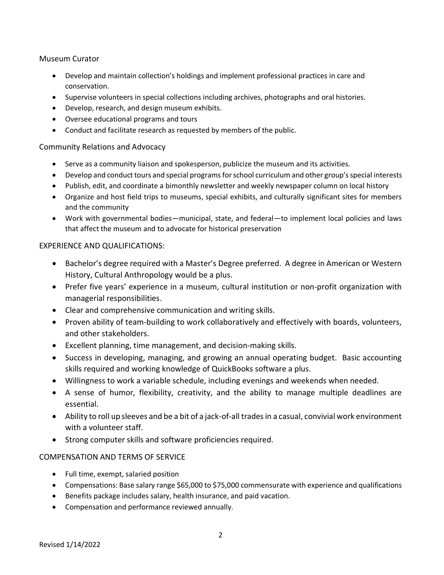# Museum Curator

- · Develop and maintain collection's holdings and implement professional practices in care and conservation.
- · Supervise volunteers in special collections including archives, photographs and oral histories.
- · Develop, research, and design museum exhibits.
- · Oversee educational programs and tours
- · Conduct and facilitate research as requested by members of the public.

#### Community Relations and Advocacy

- · Serve as a community liaison and spokesperson, publicize the museum and its activities.
- · Develop and conduct tours and special programs for school curriculum and other group's special interests
- · Publish, edit, and coordinate a bimonthly newsletter and weekly newspaper column on local history
- · Organize and host field trips to museums, special exhibits, and culturally significant sites for members and the community
- · Work with governmental bodies—municipal, state, and federal—to implement local policies and laws that affect the museum and to advocate for historical preservation

## EXPERIENCE AND QUALIFICATIONS:

- · Bachelor's degree required with a Master's Degree preferred. A degree in American or Western History, Cultural Anthropology would be a plus.
- · Prefer five years' experience in a museum, cultural institution or non-profit organization with managerial responsibilities.
- · Clear and comprehensive communication and writing skills.
- · Proven ability of team-building to work collaboratively and effectively with boards, volunteers, and other stakeholders.
- · Excellent planning, time management, and decision-making skills.
- · Success in developing, managing, and growing an annual operating budget. Basic accounting skills required and working knowledge of QuickBooks software a plus.
- · Willingness to work a variable schedule, including evenings and weekends when needed.
- · A sense of humor, flexibility, creativity, and the ability to manage multiple deadlines are essential.
- · Ability to roll up sleeves and be a bit of a jack-of-all trades in a casual, convivial work environment with a volunteer staff.
- · Strong computer skills and software proficiencies required.

# COMPENSATION AND TERMS OF SERVICE

- · Full time, exempt, salaried position
- · Compensations: Base salary range \$65,000 to \$75,000 commensurate with experience and qualifications
- · Benefits package includes salary, health insurance, and paid vacation.
- · Compensation and performance reviewed annually.